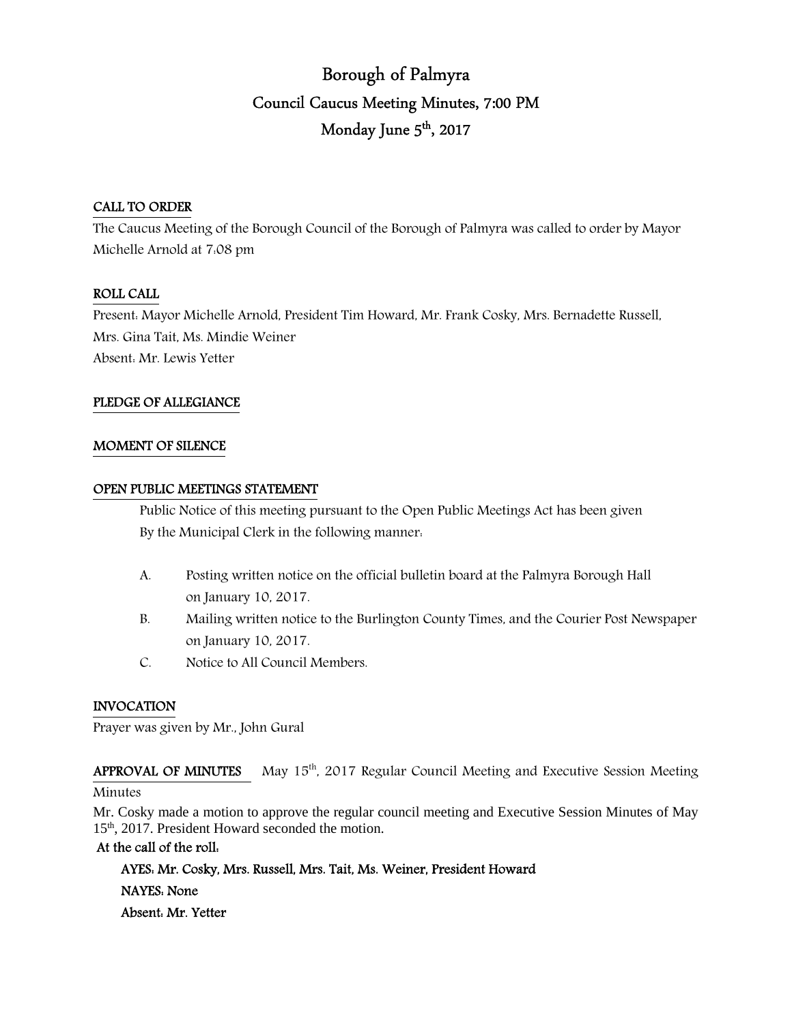# Borough of Palmyra Council Caucus Meeting Minutes, 7:00 PM Monday June 5<sup>th</sup>, 2017

# CALL TO ORDER

The Caucus Meeting of the Borough Council of the Borough of Palmyra was called to order by Mayor Michelle Arnold at 7:08 pm

# ROLL CALL

Present: Mayor Michelle Arnold, President Tim Howard, Mr. Frank Cosky, Mrs. Bernadette Russell, Mrs. Gina Tait, Ms. Mindie Weiner Absent: Mr. Lewis Yetter

# PLEDGE OF ALLEGIANCE

# MOMENT OF SILENCE

### OPEN PUBLIC MEETINGS STATEMENT

 Public Notice of this meeting pursuant to the Open Public Meetings Act has been given By the Municipal Clerk in the following manner:

- A. Posting written notice on the official bulletin board at the Palmyra Borough Hall on January 10, 2017.
- B. Mailing written notice to the Burlington County Times, and the Courier Post Newspaper on January 10, 2017.
- C. Notice to All Council Members.

# INVOCATION

Prayer was given by Mr., John Gural

APPROVAL OF MINUTES May 15<sup>th</sup>, 2017 Regular Council Meeting and Executive Session Meeting

### **Minutes**

Mr. Cosky made a motion to approve the regular council meeting and Executive Session Minutes of May 15th, 2017. President Howard seconded the motion.

# At the call of the roll:

 AYES: Mr. Cosky, Mrs. Russell, Mrs. Tait, Ms. Weiner, President Howard NAYES: None Absent: Mr. Yetter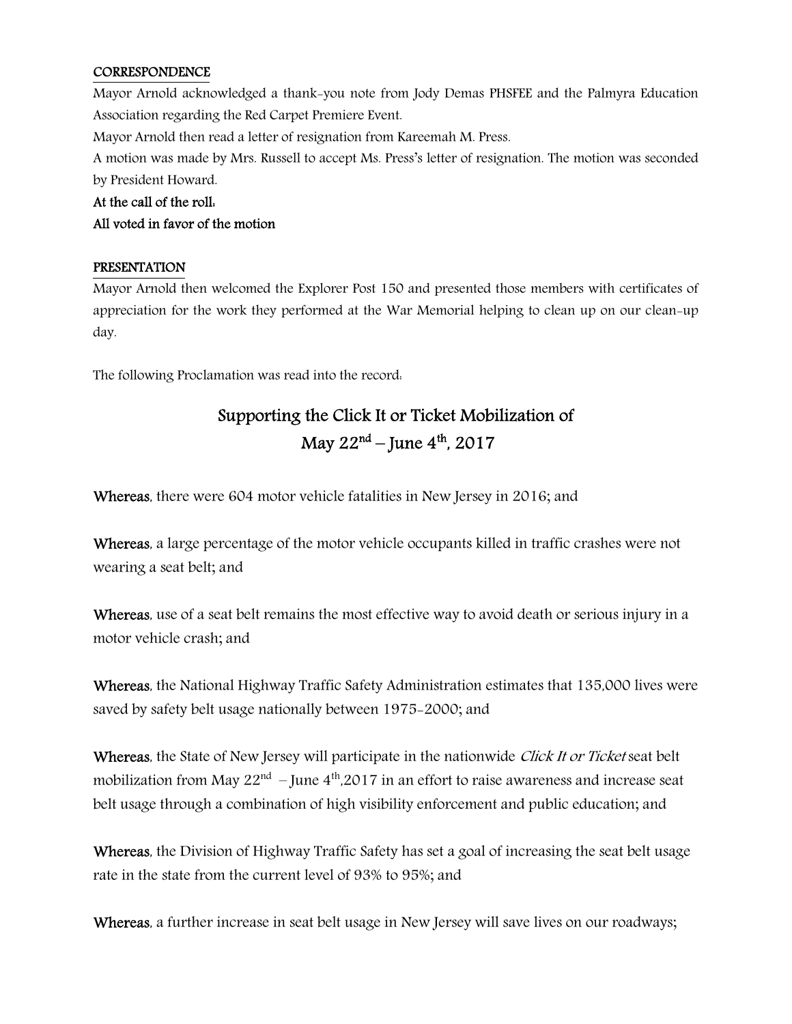# **CORRESPONDENCE**

Mayor Arnold acknowledged a thank-you note from Jody Demas PHSFEE and the Palmyra Education Association regarding the Red Carpet Premiere Event.

Mayor Arnold then read a letter of resignation from Kareemah M. Press.

A motion was made by Mrs. Russell to accept Ms. Press's letter of resignation. The motion was seconded by President Howard.

# At the call of the roll:

# All voted in favor of the motion

# PRESENTATION

Mayor Arnold then welcomed the Explorer Post 150 and presented those members with certificates of appreciation for the work they performed at the War Memorial helping to clean up on our clean-up day.

The following Proclamation was read into the record:

# Supporting the Click It or Ticket Mobilization of May  $22^{nd}$  – June  $4^{th}$ , 2017

Whereas, there were 604 motor vehicle fatalities in New Jersey in 2016; and

Whereas, a large percentage of the motor vehicle occupants killed in traffic crashes were not wearing a seat belt; and

Whereas, use of a seat belt remains the most effective way to avoid death or serious injury in a motor vehicle crash; and

Whereas, the National Highway Traffic Safety Administration estimates that 135,000 lives were saved by safety belt usage nationally between 1975-2000; and

Whereas, the State of New Jersey will participate in the nationwide *Click It or Ticket* seat belt mobilization from May  $22<sup>nd</sup>$  – June  $4<sup>th</sup>$ ,2017 in an effort to raise awareness and increase seat belt usage through a combination of high visibility enforcement and public education; and

Whereas, the Division of Highway Traffic Safety has set a goal of increasing the seat belt usage rate in the state from the current level of 93% to 95%; and

Whereas, a further increase in seat belt usage in New Jersey will save lives on our roadways;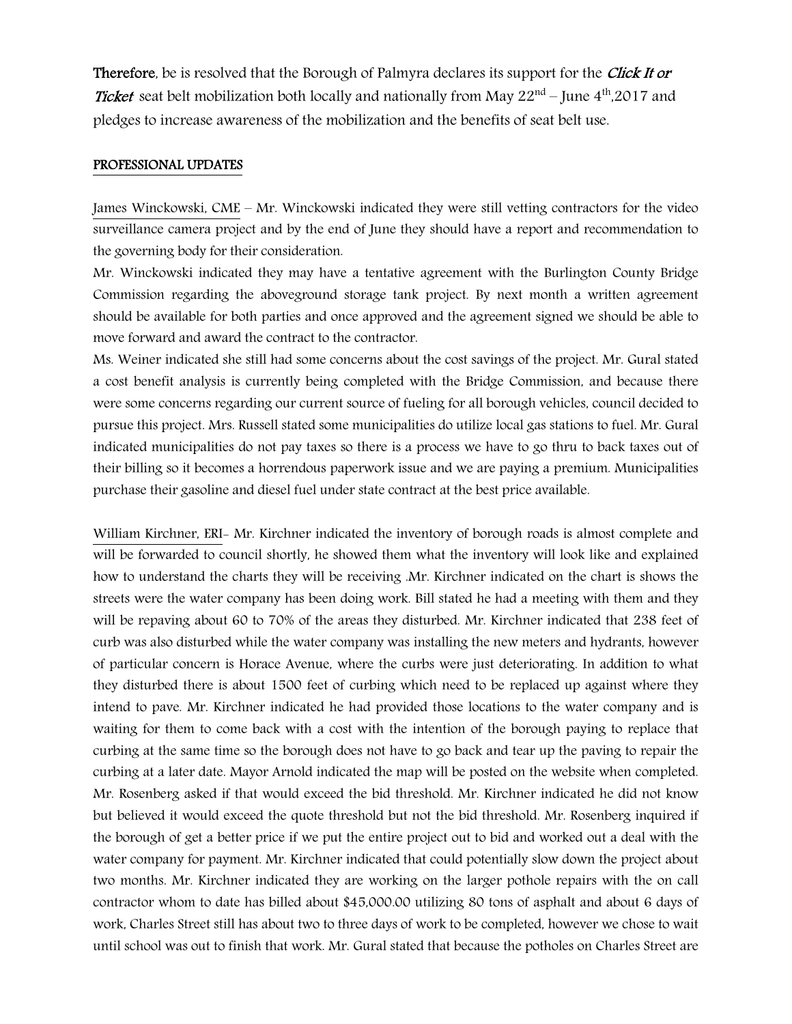Therefore, be is resolved that the Borough of Palmyra declares its support for the *Click It or* **Ticket** seat belt mobilization both locally and nationally from May  $22<sup>nd</sup>$  – June  $4<sup>th</sup>$ ,2017 and pledges to increase awareness of the mobilization and the benefits of seat belt use.

#### PROFESSIONAL UPDATES

James Winckowski, CME – Mr. Winckowski indicated they were still vetting contractors for the video surveillance camera project and by the end of June they should have a report and recommendation to the governing body for their consideration.

Mr. Winckowski indicated they may have a tentative agreement with the Burlington County Bridge Commission regarding the aboveground storage tank project. By next month a written agreement should be available for both parties and once approved and the agreement signed we should be able to move forward and award the contract to the contractor.

Ms. Weiner indicated she still had some concerns about the cost savings of the project. Mr. Gural stated a cost benefit analysis is currently being completed with the Bridge Commission, and because there were some concerns regarding our current source of fueling for all borough vehicles, council decided to pursue this project. Mrs. Russell stated some municipalities do utilize local gas stations to fuel. Mr. Gural indicated municipalities do not pay taxes so there is a process we have to go thru to back taxes out of their billing so it becomes a horrendous paperwork issue and we are paying a premium. Municipalities purchase their gasoline and diesel fuel under state contract at the best price available.

William Kirchner, ERI- Mr. Kirchner indicated the inventory of borough roads is almost complete and will be forwarded to council shortly, he showed them what the inventory will look like and explained how to understand the charts they will be receiving .Mr. Kirchner indicated on the chart is shows the streets were the water company has been doing work. Bill stated he had a meeting with them and they will be repaving about 60 to 70% of the areas they disturbed. Mr. Kirchner indicated that 238 feet of curb was also disturbed while the water company was installing the new meters and hydrants, however of particular concern is Horace Avenue, where the curbs were just deteriorating. In addition to what they disturbed there is about 1500 feet of curbing which need to be replaced up against where they intend to pave. Mr. Kirchner indicated he had provided those locations to the water company and is waiting for them to come back with a cost with the intention of the borough paying to replace that curbing at the same time so the borough does not have to go back and tear up the paving to repair the curbing at a later date. Mayor Arnold indicated the map will be posted on the website when completed. Mr. Rosenberg asked if that would exceed the bid threshold. Mr. Kirchner indicated he did not know but believed it would exceed the quote threshold but not the bid threshold. Mr. Rosenberg inquired if the borough of get a better price if we put the entire project out to bid and worked out a deal with the water company for payment. Mr. Kirchner indicated that could potentially slow down the project about two months. Mr. Kirchner indicated they are working on the larger pothole repairs with the on call contractor whom to date has billed about \$45,000.00 utilizing 80 tons of asphalt and about 6 days of work, Charles Street still has about two to three days of work to be completed, however we chose to wait until school was out to finish that work. Mr. Gural stated that because the potholes on Charles Street are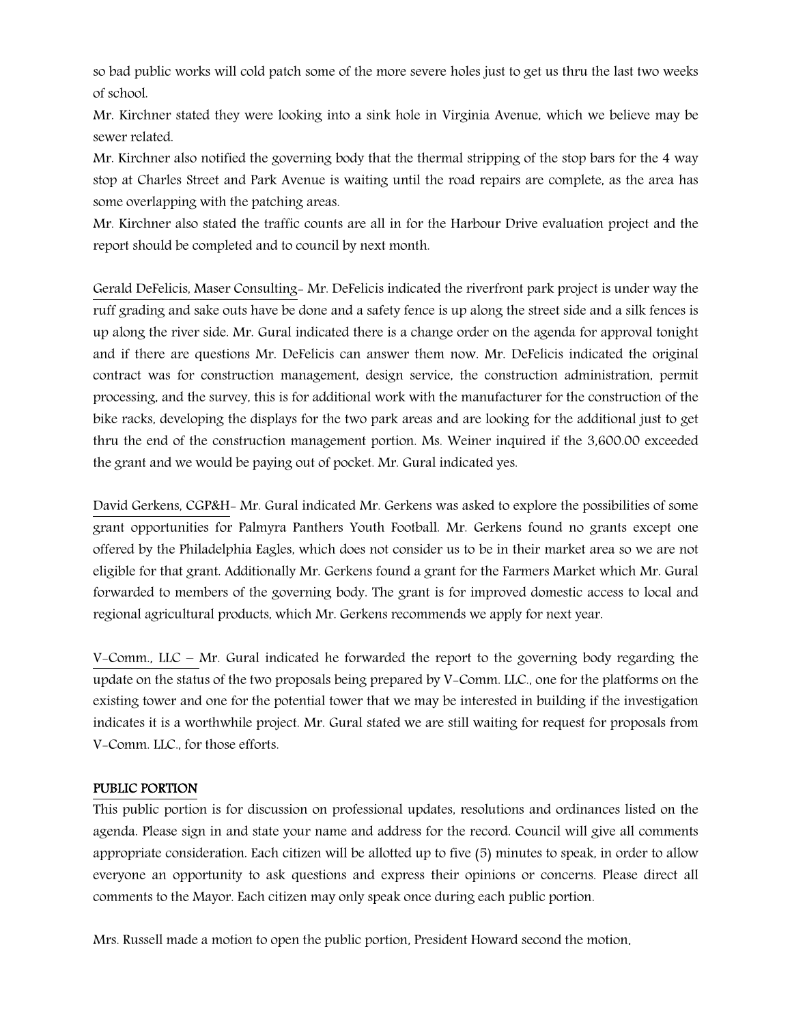so bad public works will cold patch some of the more severe holes just to get us thru the last two weeks of school.

Mr. Kirchner stated they were looking into a sink hole in Virginia Avenue, which we believe may be sewer related.

Mr. Kirchner also notified the governing body that the thermal stripping of the stop bars for the 4 way stop at Charles Street and Park Avenue is waiting until the road repairs are complete, as the area has some overlapping with the patching areas.

Mr. Kirchner also stated the traffic counts are all in for the Harbour Drive evaluation project and the report should be completed and to council by next month.

Gerald DeFelicis, Maser Consulting- Mr. DeFelicis indicated the riverfront park project is under way the ruff grading and sake outs have be done and a safety fence is up along the street side and a silk fences is up along the river side. Mr. Gural indicated there is a change order on the agenda for approval tonight and if there are questions Mr. DeFelicis can answer them now. Mr. DeFelicis indicated the original contract was for construction management, design service, the construction administration, permit processing, and the survey, this is for additional work with the manufacturer for the construction of the bike racks, developing the displays for the two park areas and are looking for the additional just to get thru the end of the construction management portion. Ms. Weiner inquired if the 3,600.00 exceeded the grant and we would be paying out of pocket. Mr. Gural indicated yes.

David Gerkens, CGP&H- Mr. Gural indicated Mr. Gerkens was asked to explore the possibilities of some grant opportunities for Palmyra Panthers Youth Football. Mr. Gerkens found no grants except one offered by the Philadelphia Eagles, which does not consider us to be in their market area so we are not eligible for that grant. Additionally Mr. Gerkens found a grant for the Farmers Market which Mr. Gural forwarded to members of the governing body. The grant is for improved domestic access to local and regional agricultural products, which Mr. Gerkens recommends we apply for next year.

V-Comm., LLC – Mr. Gural indicated he forwarded the report to the governing body regarding the update on the status of the two proposals being prepared by V-Comm. LLC., one for the platforms on the existing tower and one for the potential tower that we may be interested in building if the investigation indicates it is a worthwhile project. Mr. Gural stated we are still waiting for request for proposals from V-Comm. LLC., for those efforts.

# PUBLIC PORTION

This public portion is for discussion on professional updates, resolutions and ordinances listed on the agenda. Please sign in and state your name and address for the record. Council will give all comments appropriate consideration. Each citizen will be allotted up to five (5) minutes to speak, in order to allow everyone an opportunity to ask questions and express their opinions or concerns. Please direct all comments to the Mayor. Each citizen may only speak once during each public portion.

Mrs. Russell made a motion to open the public portion, President Howard second the motion.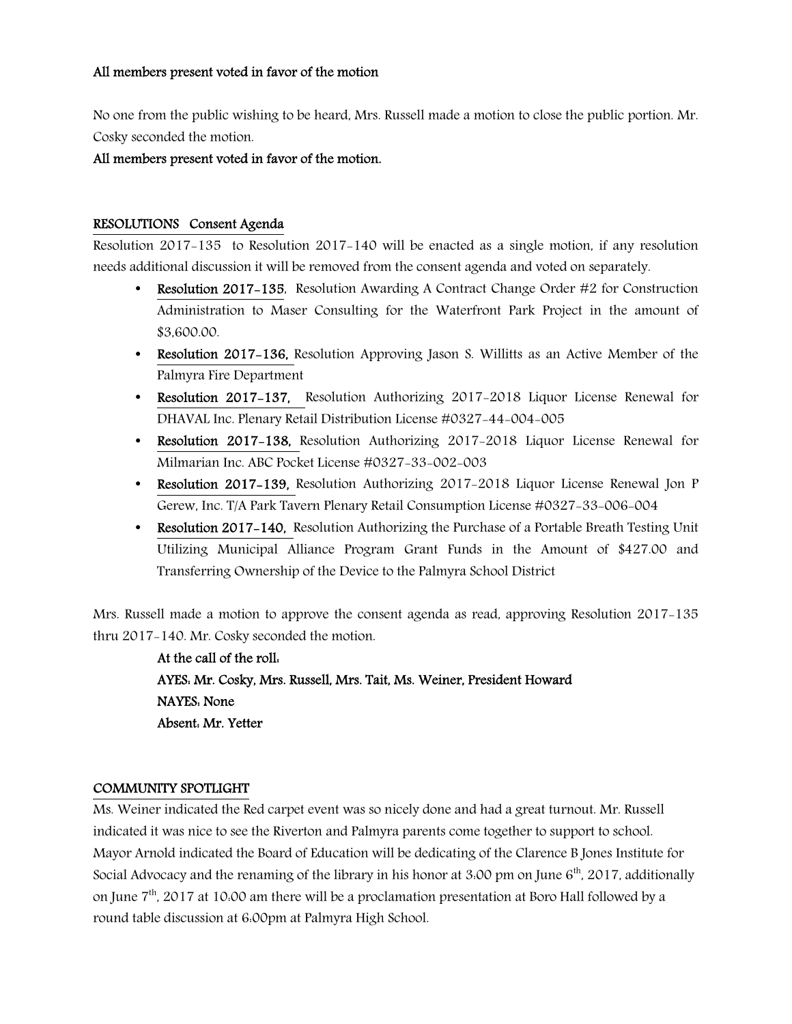### All members present voted in favor of the motion

No one from the public wishing to be heard, Mrs. Russell made a motion to close the public portion. Mr. Cosky seconded the motion.

All members present voted in favor of the motion.

### RESOLUTIONS Consent Agenda

Resolution 2017-135 to Resolution 2017-140 will be enacted as a single motion, if any resolution needs additional discussion it will be removed from the consent agenda and voted on separately.

- Resolution 2017-135, Resolution Awarding A Contract Change Order #2 for Construction Administration to Maser Consulting for the Waterfront Park Project in the amount of \$3,600.00.
- Resolution 2017–136, Resolution Approving Jason S. Willitts as an Active Member of the Palmyra Fire Department
- Resolution 2017-137, Resolution Authorizing 2017-2018 Liquor License Renewal for DHAVAL Inc. Plenary Retail Distribution License #0327-44-004-005
- Resolution 2017-138, Resolution Authorizing 2017-2018 Liquor License Renewal for Milmarian Inc. ABC Pocket License #0327-33-002-003
- Resolution 2017-139, Resolution Authorizing 2017-2018 Liquor License Renewal Jon P Gerew, Inc. T/A Park Tavern Plenary Retail Consumption License #0327-33-006-004
- Resolution 2017–140, Resolution Authorizing the Purchase of a Portable Breath Testing Unit Utilizing Municipal Alliance Program Grant Funds in the Amount of \$427.00 and Transferring Ownership of the Device to the Palmyra School District

Mrs. Russell made a motion to approve the consent agenda as read, approving Resolution 2017-135 thru 2017-140. Mr. Cosky seconded the motion.

> At the call of the roll: AYES: Mr. Cosky, Mrs. Russell, Mrs. Tait, Ms. Weiner, President Howard NAYES: None Absent: Mr. Yetter

#### COMMUNITY SPOTLIGHT

Ms. Weiner indicated the Red carpet event was so nicely done and had a great turnout. Mr. Russell indicated it was nice to see the Riverton and Palmyra parents come together to support to school. Mayor Arnold indicated the Board of Education will be dedicating of the Clarence B Jones Institute for Social Advocacy and the renaming of the library in his honor at 3:00 pm on June  $6<sup>th</sup>$ , 2017, additionally on June  $7<sup>th</sup>$ , 2017 at 10:00 am there will be a proclamation presentation at Boro Hall followed by a round table discussion at 6:00pm at Palmyra High School.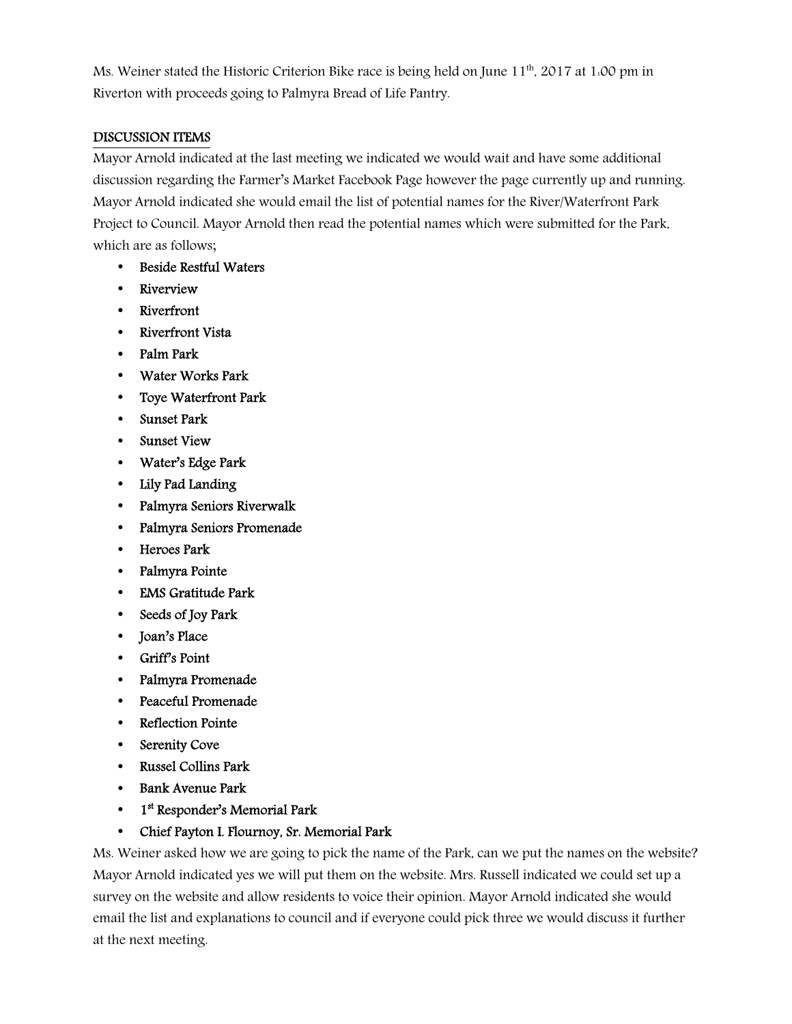Ms. Weiner stated the Historic Criterion Bike race is being held on June  $11<sup>th</sup>$ , 2017 at 1:00 pm in Riverton with proceeds going to Palmyra Bread of Life Pantry.

# DISCUSSION ITEMS

Mayor Arnold indicated at the last meeting we indicated we would wait and have some additional discussion regarding the Farmer's Market Facebook Page however the page currently up and running. Mayor Arnold indicated she would email the list of potential names for the River/Waterfront Park Project to Council. Mayor Arnold then read the potential names which were submitted for the Park, which are as follows;

- Beside Restful Waters
- Riverview
- Riverfront
- Riverfront Vista
- Palm Park
- Water Works Park
- Toye Waterfront Park
- Sunset Park
- Sunset View
- Water's Edge Park
- Lily Pad Landing
- Palmyra Seniors Riverwalk
- Palmyra Seniors Promenade
- Heroes Park
- Palmyra Pointe
- EMS Gratitude Park
- Seeds of Joy Park
- Joan's Place
- Griff's Point
- Palmyra Promenade
- Peaceful Promenade
- Reflection Pointe
- Serenity Cove
- Russel Collins Park
- Bank Avenue Park
- 1<sup>st</sup> Responder's Memorial Park

# • Chief Payton I. Flournoy, Sr. Memorial Park

Ms. Weiner asked how we are going to pick the name of the Park, can we put the names on the website? Mayor Arnold indicated yes we will put them on the website. Mrs. Russell indicated we could set up a survey on the website and allow residents to voice their opinion. Mayor Arnold indicated she would email the list and explanations to council and if everyone could pick three we would discuss it further at the next meeting.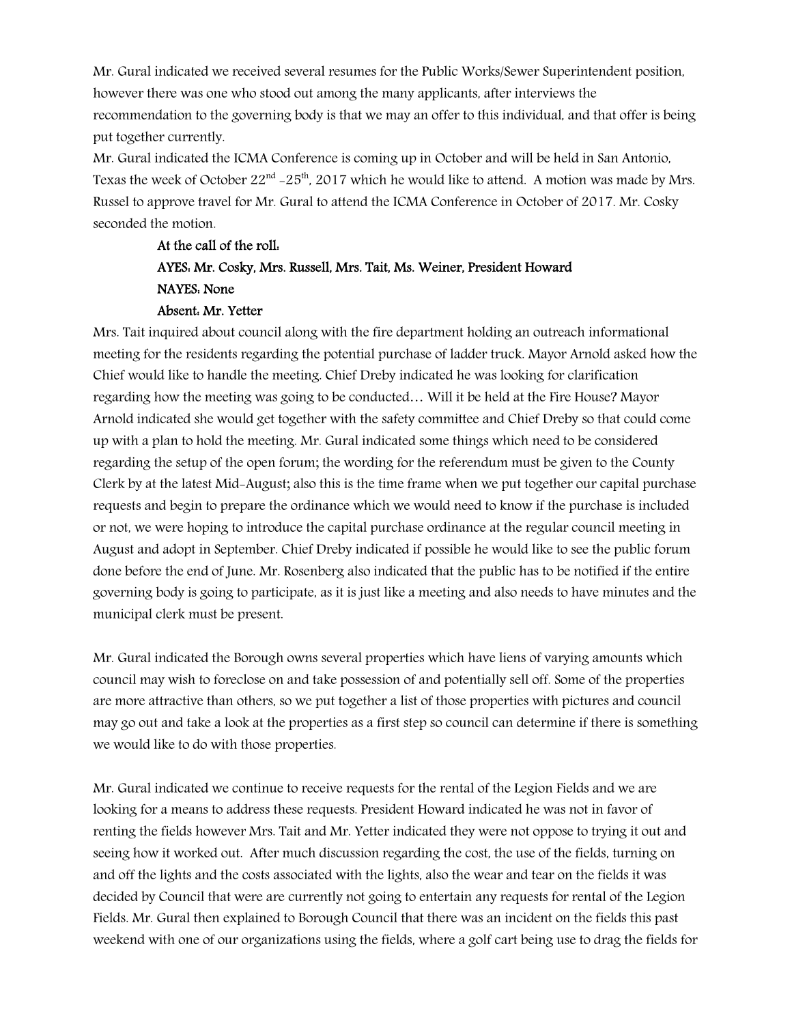Mr. Gural indicated we received several resumes for the Public Works/Sewer Superintendent position, however there was one who stood out among the many applicants, after interviews the recommendation to the governing body is that we may an offer to this individual, and that offer is being put together currently.

Mr. Gural indicated the ICMA Conference is coming up in October and will be held in San Antonio, Texas the week of October  $22<sup>nd</sup> - 25<sup>th</sup>$ , 2017 which he would like to attend. A motion was made by Mrs. Russel to approve travel for Mr. Gural to attend the ICMA Conference in October of 2017. Mr. Cosky seconded the motion.

# At the call of the roll: AYES: Mr. Cosky, Mrs. Russell, Mrs. Tait, Ms. Weiner, President Howard NAYES: None Absent: Mr. Yetter

Mrs. Tait inquired about council along with the fire department holding an outreach informational meeting for the residents regarding the potential purchase of ladder truck. Mayor Arnold asked how the Chief would like to handle the meeting. Chief Dreby indicated he was looking for clarification regarding how the meeting was going to be conducted… Will it be held at the Fire House? Mayor Arnold indicated she would get together with the safety committee and Chief Dreby so that could come up with a plan to hold the meeting. Mr. Gural indicated some things which need to be considered regarding the setup of the open forum; the wording for the referendum must be given to the County Clerk by at the latest Mid-August; also this is the time frame when we put together our capital purchase requests and begin to prepare the ordinance which we would need to know if the purchase is included or not, we were hoping to introduce the capital purchase ordinance at the regular council meeting in August and adopt in September. Chief Dreby indicated if possible he would like to see the public forum done before the end of June. Mr. Rosenberg also indicated that the public has to be notified if the entire governing body is going to participate, as it is just like a meeting and also needs to have minutes and the municipal clerk must be present.

Mr. Gural indicated the Borough owns several properties which have liens of varying amounts which council may wish to foreclose on and take possession of and potentially sell off. Some of the properties are more attractive than others, so we put together a list of those properties with pictures and council may go out and take a look at the properties as a first step so council can determine if there is something we would like to do with those properties.

Mr. Gural indicated we continue to receive requests for the rental of the Legion Fields and we are looking for a means to address these requests. President Howard indicated he was not in favor of renting the fields however Mrs. Tait and Mr. Yetter indicated they were not oppose to trying it out and seeing how it worked out. After much discussion regarding the cost, the use of the fields, turning on and off the lights and the costs associated with the lights, also the wear and tear on the fields it was decided by Council that were are currently not going to entertain any requests for rental of the Legion Fields. Mr. Gural then explained to Borough Council that there was an incident on the fields this past weekend with one of our organizations using the fields, where a golf cart being use to drag the fields for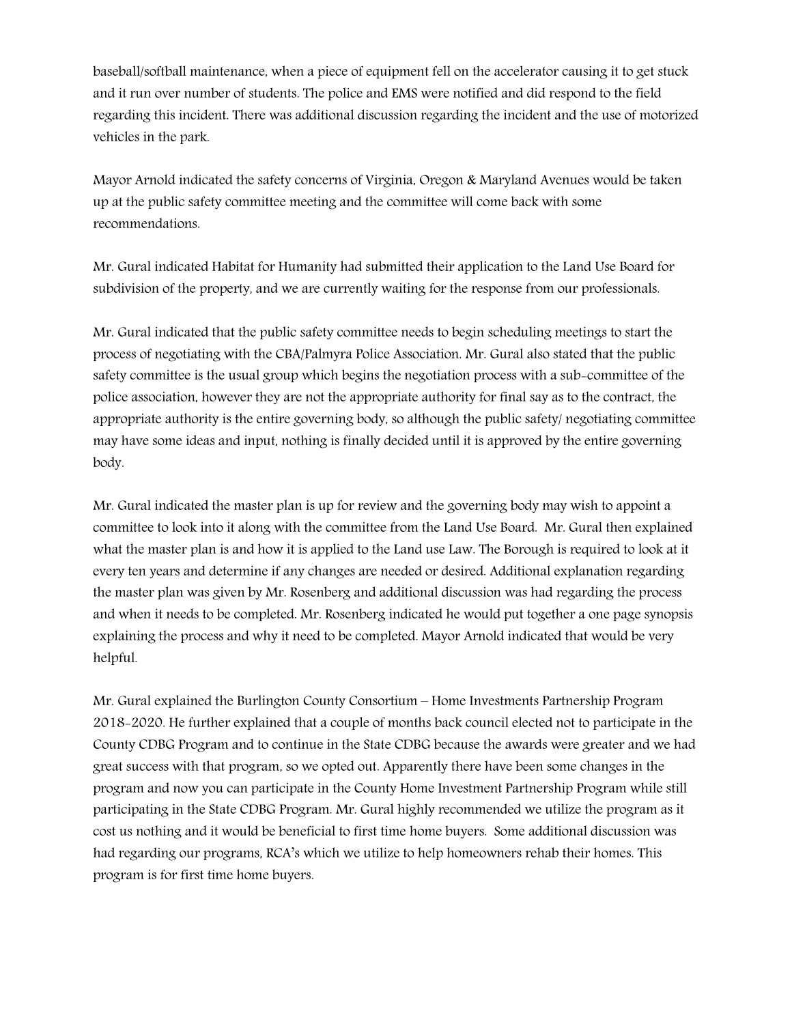baseball/softball maintenance, when a piece of equipment fell on the accelerator causing it to get stuck and it run over number of students. The police and EMS were notified and did respond to the field regarding this incident. There was additional discussion regarding the incident and the use of motorized vehicles in the park.

Mayor Arnold indicated the safety concerns of Virginia, Oregon & Maryland Avenues would be taken up at the public safety committee meeting and the committee will come back with some recommendations.

Mr. Gural indicated Habitat for Humanity had submitted their application to the Land Use Board for subdivision of the property, and we are currently waiting for the response from our professionals.

Mr. Gural indicated that the public safety committee needs to begin scheduling meetings to start the process of negotiating with the CBA/Palmyra Police Association. Mr. Gural also stated that the public safety committee is the usual group which begins the negotiation process with a sub-committee of the police association, however they are not the appropriate authority for final say as to the contract, the appropriate authority is the entire governing body, so although the public safety/ negotiating committee may have some ideas and input, nothing is finally decided until it is approved by the entire governing body.

Mr. Gural indicated the master plan is up for review and the governing body may wish to appoint a committee to look into it along with the committee from the Land Use Board. Mr. Gural then explained what the master plan is and how it is applied to the Land use Law. The Borough is required to look at it every ten years and determine if any changes are needed or desired. Additional explanation regarding the master plan was given by Mr. Rosenberg and additional discussion was had regarding the process and when it needs to be completed. Mr. Rosenberg indicated he would put together a one page synopsis explaining the process and why it need to be completed. Mayor Arnold indicated that would be very helpful.

Mr. Gural explained the Burlington County Consortium – Home Investments Partnership Program 2018-2020. He further explained that a couple of months back council elected not to participate in the County CDBG Program and to continue in the State CDBG because the awards were greater and we had great success with that program, so we opted out. Apparently there have been some changes in the program and now you can participate in the County Home Investment Partnership Program while still participating in the State CDBG Program. Mr. Gural highly recommended we utilize the program as it cost us nothing and it would be beneficial to first time home buyers. Some additional discussion was had regarding our programs, RCA's which we utilize to help homeowners rehab their homes. This program is for first time home buyers.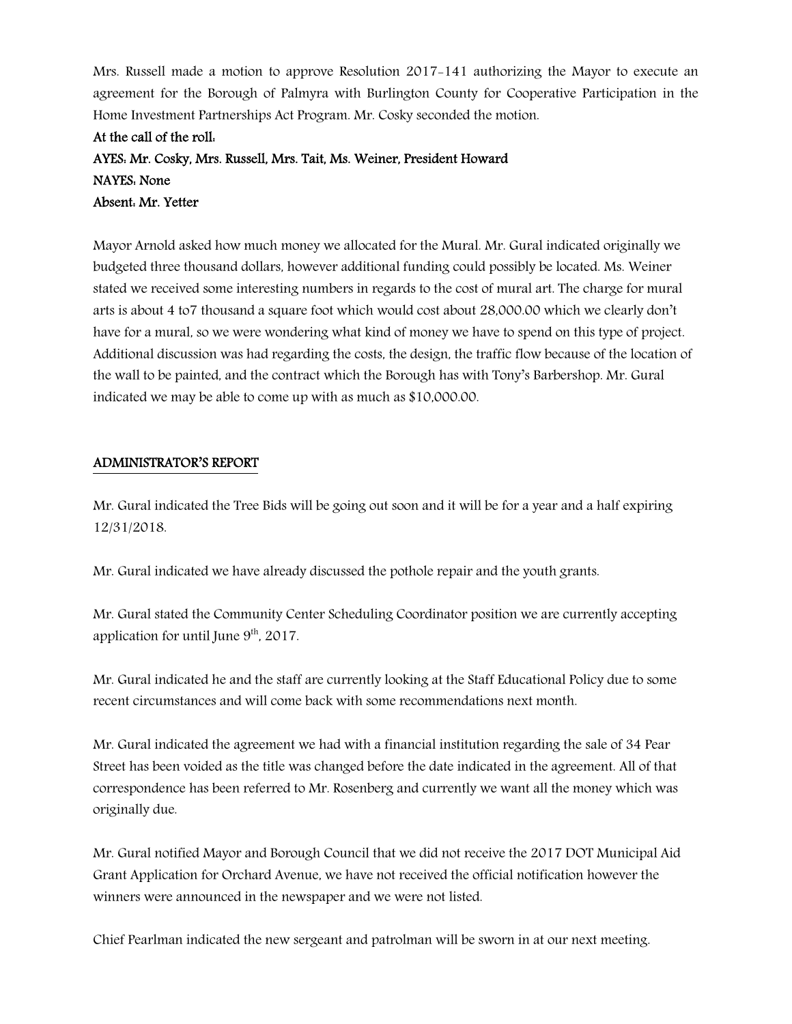Mrs. Russell made a motion to approve Resolution 2017-141 authorizing the Mayor to execute an agreement for the Borough of Palmyra with Burlington County for Cooperative Participation in the Home Investment Partnerships Act Program. Mr. Cosky seconded the motion.

# At the call of the roll: AYES: Mr. Cosky, Mrs. Russell, Mrs. Tait, Ms. Weiner, President Howard NAYES: None Absent: Mr. Yetter

Mayor Arnold asked how much money we allocated for the Mural. Mr. Gural indicated originally we budgeted three thousand dollars, however additional funding could possibly be located. Ms. Weiner stated we received some interesting numbers in regards to the cost of mural art. The charge for mural arts is about 4 to7 thousand a square foot which would cost about 28,000.00 which we clearly don't have for a mural, so we were wondering what kind of money we have to spend on this type of project. Additional discussion was had regarding the costs, the design, the traffic flow because of the location of the wall to be painted, and the contract which the Borough has with Tony's Barbershop. Mr. Gural indicated we may be able to come up with as much as \$10,000.00.

# ADMINISTRATOR'S REPORT

Mr. Gural indicated the Tree Bids will be going out soon and it will be for a year and a half expiring 12/31/2018.

Mr. Gural indicated we have already discussed the pothole repair and the youth grants.

Mr. Gural stated the Community Center Scheduling Coordinator position we are currently accepting application for until June  $9<sup>th</sup>$ , 2017.

Mr. Gural indicated he and the staff are currently looking at the Staff Educational Policy due to some recent circumstances and will come back with some recommendations next month.

Mr. Gural indicated the agreement we had with a financial institution regarding the sale of 34 Pear Street has been voided as the title was changed before the date indicated in the agreement. All of that correspondence has been referred to Mr. Rosenberg and currently we want all the money which was originally due.

Mr. Gural notified Mayor and Borough Council that we did not receive the 2017 DOT Municipal Aid Grant Application for Orchard Avenue, we have not received the official notification however the winners were announced in the newspaper and we were not listed.

Chief Pearlman indicated the new sergeant and patrolman will be sworn in at our next meeting.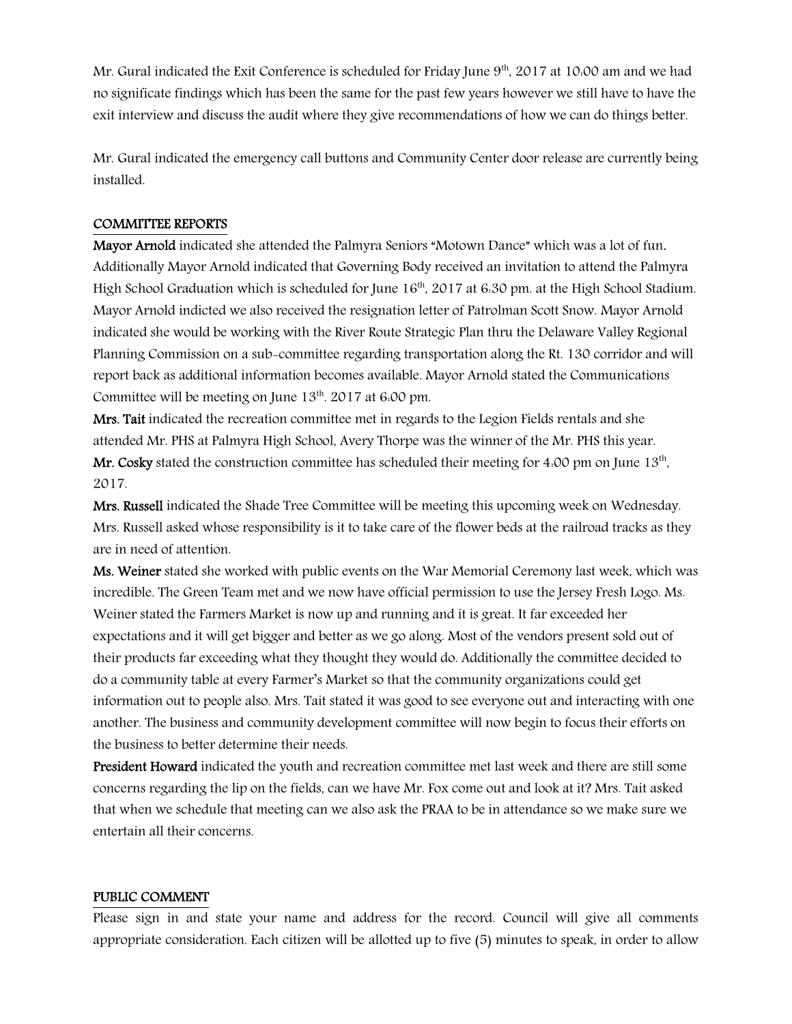Mr. Gural indicated the Exit Conference is scheduled for Friday June 9<sup>th</sup>, 2017 at 10:00 am and we had no significate findings which has been the same for the past few years however we still have to have the exit interview and discuss the audit where they give recommendations of how we can do things better.

Mr. Gural indicated the emergency call buttons and Community Center door release are currently being installed.

#### COMMITTEE REPORTS

Mayor Arnold indicated she attended the Palmyra Seniors "Motown Dance" which was a lot of fun. Additionally Mayor Arnold indicated that Governing Body received an invitation to attend the Palmyra High School Graduation which is scheduled for June 16<sup>th</sup>, 2017 at 6:30 pm. at the High School Stadium. Mayor Arnold indicted we also received the resignation letter of Patrolman Scott Snow. Mayor Arnold indicated she would be working with the River Route Strategic Plan thru the Delaware Valley Regional Planning Commission on a sub-committee regarding transportation along the Rt. 130 corridor and will report back as additional information becomes available. Mayor Arnold stated the Communications Committee will be meeting on June  $13<sup>th</sup>$ . 2017 at 6:00 pm.

Mrs. Tait indicated the recreation committee met in regards to the Legion Fields rentals and she attended Mr. PHS at Palmyra High School, Avery Thorpe was the winner of the Mr. PHS this year. **Mr. Cosky** stated the construction committee has scheduled their meeting for 4.00 pm on June  $13^{\text{th}}$ , 2017.

Mrs. Russell indicated the Shade Tree Committee will be meeting this upcoming week on Wednesday. Mrs. Russell asked whose responsibility is it to take care of the flower beds at the railroad tracks as they are in need of attention.

Ms. Weiner stated she worked with public events on the War Memorial Ceremony last week, which was incredible. The Green Team met and we now have official permission to use the Jersey Fresh Logo. Ms. Weiner stated the Farmers Market is now up and running and it is great. It far exceeded her expectations and it will get bigger and better as we go along. Most of the vendors present sold out of their products far exceeding what they thought they would do. Additionally the committee decided to do a community table at every Farmer's Market so that the community organizations could get information out to people also. Mrs. Tait stated it was good to see everyone out and interacting with one another. The business and community development committee will now begin to focus their efforts on the business to better determine their needs.

President Howard indicated the youth and recreation committee met last week and there are still some concerns regarding the lip on the fields, can we have Mr. Fox come out and look at it? Mrs. Tait asked that when we schedule that meeting can we also ask the PRAA to be in attendance so we make sure we entertain all their concerns.

#### PUBLIC COMMENT

Please sign in and state your name and address for the record. Council will give all comments appropriate consideration. Each citizen will be allotted up to five (5) minutes to speak, in order to allow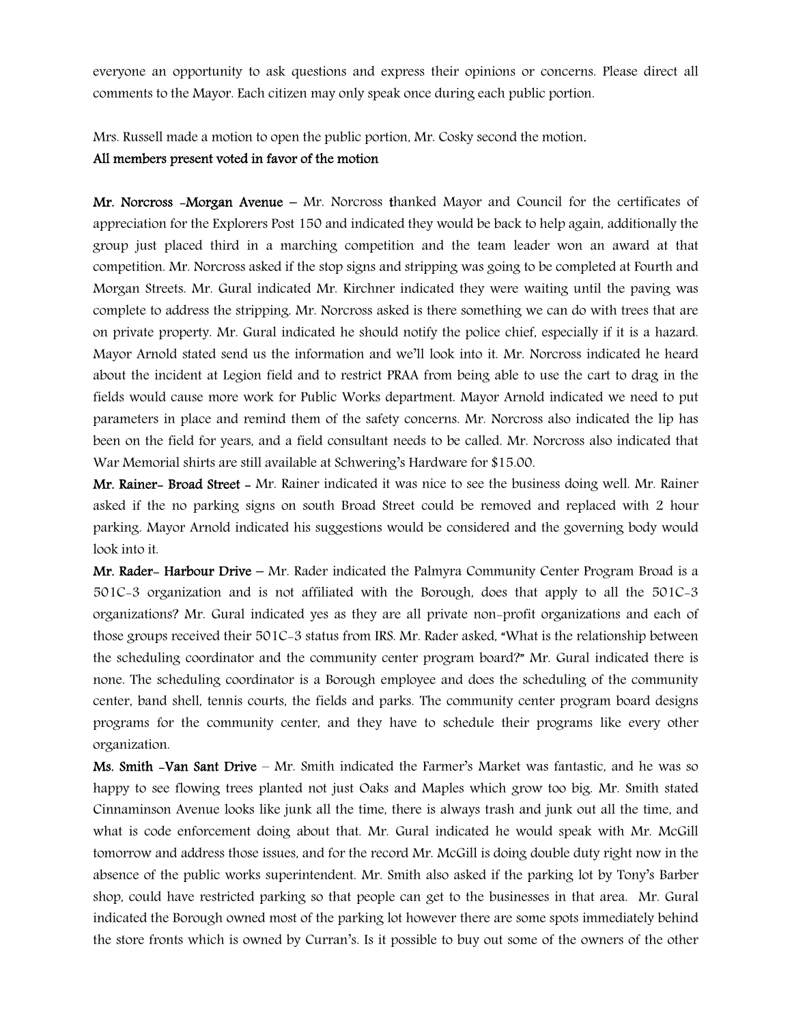everyone an opportunity to ask questions and express their opinions or concerns. Please direct all comments to the Mayor. Each citizen may only speak once during each public portion.

Mrs. Russell made a motion to open the public portion, Mr. Cosky second the motion.

## All members present voted in favor of the motion

Mr. Norcross  $-Morgan$  Avenue – Mr. Norcross thanked Mayor and Council for the certificates of appreciation for the Explorers Post 150 and indicated they would be back to help again, additionally the group just placed third in a marching competition and the team leader won an award at that competition. Mr. Norcross asked if the stop signs and stripping was going to be completed at Fourth and Morgan Streets. Mr. Gural indicated Mr. Kirchner indicated they were waiting until the paving was complete to address the stripping. Mr. Norcross asked is there something we can do with trees that are on private property. Mr. Gural indicated he should notify the police chief, especially if it is a hazard. Mayor Arnold stated send us the information and we'll look into it. Mr. Norcross indicated he heard about the incident at Legion field and to restrict PRAA from being able to use the cart to drag in the fields would cause more work for Public Works department. Mayor Arnold indicated we need to put parameters in place and remind them of the safety concerns. Mr. Norcross also indicated the lip has been on the field for years, and a field consultant needs to be called. Mr. Norcross also indicated that War Memorial shirts are still available at Schwering's Hardware for \$15.00.

Mr. Rainer- Broad Street - Mr. Rainer indicated it was nice to see the business doing well. Mr. Rainer asked if the no parking signs on south Broad Street could be removed and replaced with 2 hour parking. Mayor Arnold indicated his suggestions would be considered and the governing body would look into it.

Mr. Rader- Harbour Drive – Mr. Rader indicated the Palmyra Community Center Program Broad is a 501C-3 organization and is not affiliated with the Borough, does that apply to all the 501C-3 organizations? Mr. Gural indicated yes as they are all private non-profit organizations and each of those groups received their 501C-3 status from IRS. Mr. Rader asked, "What is the relationship between the scheduling coordinator and the community center program board?" Mr. Gural indicated there is none. The scheduling coordinator is a Borough employee and does the scheduling of the community center, band shell, tennis courts, the fields and parks. The community center program board designs programs for the community center, and they have to schedule their programs like every other organization.

Ms. Smith -Van Sant Drive – Mr. Smith indicated the Farmer's Market was fantastic, and he was so happy to see flowing trees planted not just Oaks and Maples which grow too big. Mr. Smith stated Cinnaminson Avenue looks like junk all the time, there is always trash and junk out all the time, and what is code enforcement doing about that. Mr. Gural indicated he would speak with Mr. McGill tomorrow and address those issues, and for the record Mr. McGill is doing double duty right now in the absence of the public works superintendent. Mr. Smith also asked if the parking lot by Tony's Barber shop, could have restricted parking so that people can get to the businesses in that area. Mr. Gural indicated the Borough owned most of the parking lot however there are some spots immediately behind the store fronts which is owned by Curran's. Is it possible to buy out some of the owners of the other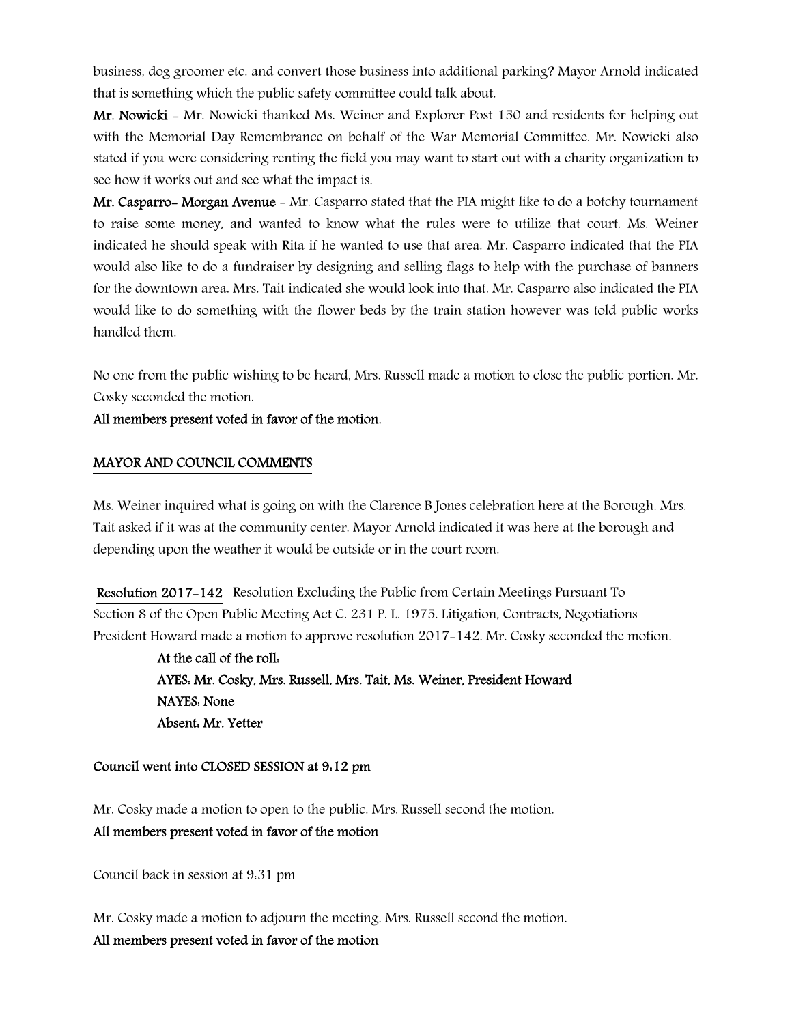business, dog groomer etc. and convert those business into additional parking? Mayor Arnold indicated that is something which the public safety committee could talk about.

Mr. Nowicki - Mr. Nowicki thanked Ms. Weiner and Explorer Post 150 and residents for helping out with the Memorial Day Remembrance on behalf of the War Memorial Committee. Mr. Nowicki also stated if you were considering renting the field you may want to start out with a charity organization to see how it works out and see what the impact is.

Mr. Casparro- Morgan Avenue - Mr. Casparro stated that the PIA might like to do a botchy tournament to raise some money, and wanted to know what the rules were to utilize that court. Ms. Weiner indicated he should speak with Rita if he wanted to use that area. Mr. Casparro indicated that the PIA would also like to do a fundraiser by designing and selling flags to help with the purchase of banners for the downtown area. Mrs. Tait indicated she would look into that. Mr. Casparro also indicated the PIA would like to do something with the flower beds by the train station however was told public works handled them.

No one from the public wishing to be heard, Mrs. Russell made a motion to close the public portion. Mr. Cosky seconded the motion.

### All members present voted in favor of the motion.

### MAYOR AND COUNCIL COMMENTS

Ms. Weiner inquired what is going on with the Clarence B Jones celebration here at the Borough. Mrs. Tait asked if it was at the community center. Mayor Arnold indicated it was here at the borough and depending upon the weather it would be outside or in the court room.

 Resolution 2017-142 Resolution Excluding the Public from Certain Meetings Pursuant To Section 8 of the Open Public Meeting Act C. 231 P. L. 1975. Litigation, Contracts, Negotiations President Howard made a motion to approve resolution 2017-142. Mr. Cosky seconded the motion.

> At the call of the roll: AYES: Mr. Cosky, Mrs. Russell, Mrs. Tait, Ms. Weiner, President Howard NAYES: None Absent: Mr. Yetter

#### Council went into CLOSED SESSION at 9:12 pm

Mr. Cosky made a motion to open to the public. Mrs. Russell second the motion.

# All members present voted in favor of the motion

Council back in session at 9:31 pm

Mr. Cosky made a motion to adjourn the meeting. Mrs. Russell second the motion.

### All members present voted in favor of the motion